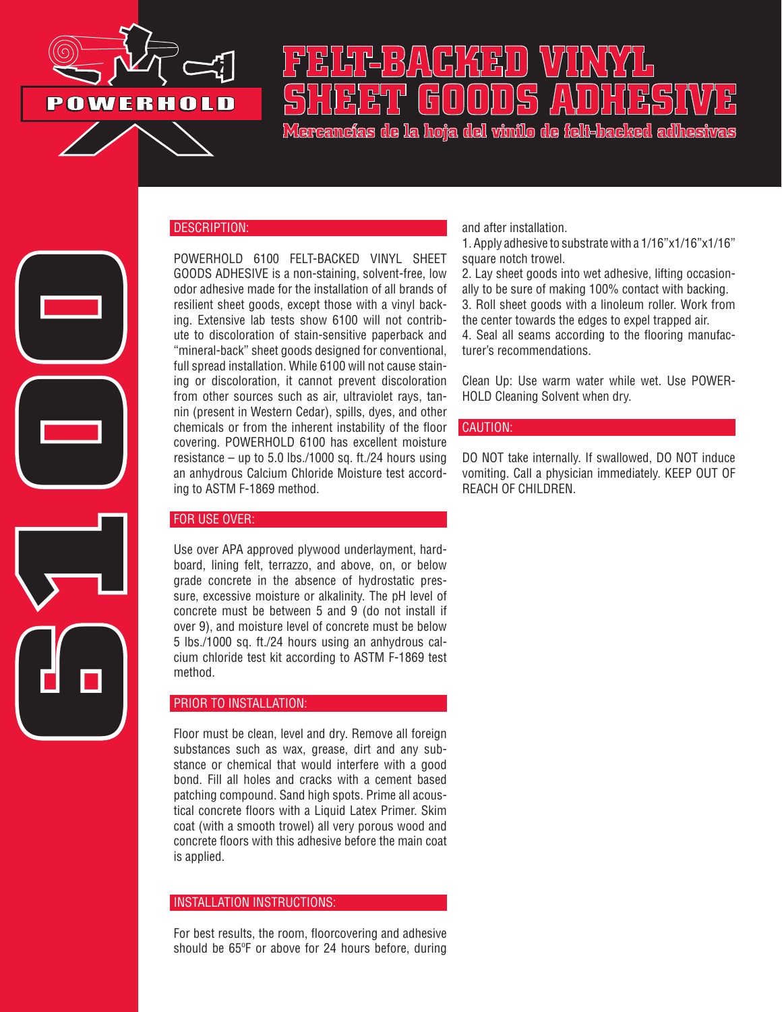

## **FELT-BACKED VINYL SHEET GOODS ADHESIVE**

**Mercancías de la hoja del vinilo de felt-backed adhesivas**

# **6100**

### DESCRIPTION:

POWERHOLD 6100 FELT-BACKED VINYL SHEET GOODS ADHESIVE is a non-staining, solvent-free, low odor adhesive made for the installation of all brands of resilient sheet goods, except those with a vinyl backing. Extensive lab tests show 6100 will not contribute to discoloration of stain-sensitive paperback and "mineral-back" sheet goods designed for conventional, full spread installation. While 6100 will not cause staining or discoloration, it cannot prevent discoloration from other sources such as air, ultraviolet rays, tannin (present in Western Cedar), spills, dyes, and other chemicals or from the inherent instability of the floor covering. POWERHOLD 6100 has excellent moisture resistance – up to 5.0 lbs./1000 sq. ft./24 hours using an anhydrous Calcium Chloride Moisture test according to ASTM F-1869 method.

### FOR USE OVER:

Use over APA approved plywood underlayment, hardboard, lining felt, terrazzo, and above, on, or below grade concrete in the absence of hydrostatic pressure, excessive moisture or alkalinity. The pH level of concrete must be between 5 and 9 (do not install if over 9), and moisture level of concrete must be below 5 lbs./1000 sq. ft./24 hours using an anhydrous calcium chloride test kit according to ASTM F-1869 test method.

### PRIOR TO INSTALLATION:

Floor must be clean, level and dry. Remove all foreign substances such as wax, grease, dirt and any substance or chemical that would interfere with a good bond. Fill all holes and cracks with a cement based patching compound. Sand high spots. Prime all acoustical concrete floors with a Liquid Latex Primer. Skim coat (with a smooth trowel) all very porous wood and concrete floors with this adhesive before the main coat is applied.

### INSTALLATION INSTRUCTIONS:

For best results, the room, floorcovering and adhesive should be 65ºF or above for 24 hours before, during and after installation.

1. Apply adhesive to substrate with a 1/16"x1/16"x1/16" square notch trowel.

2. Lay sheet goods into wet adhesive, lifting occasionally to be sure of making 100% contact with backing. 3. Roll sheet goods with a linoleum roller. Work from the center towards the edges to expel trapped air. 4. Seal all seams according to the flooring manufacturer's recommendations.

Clean Up: Use warm water while wet. Use POWER-HOLD Cleaning Solvent when dry.

### CAUTION:

DO NOT take internally. If swallowed, DO NOT induce vomiting. Call a physician immediately. KEEP OUT OF REACH OF CHILDREN.